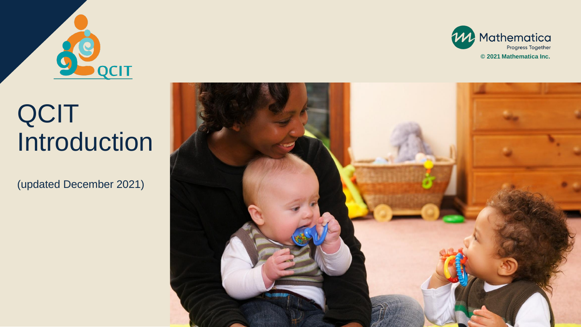



## QCIT Introduction

(updated December 2021)

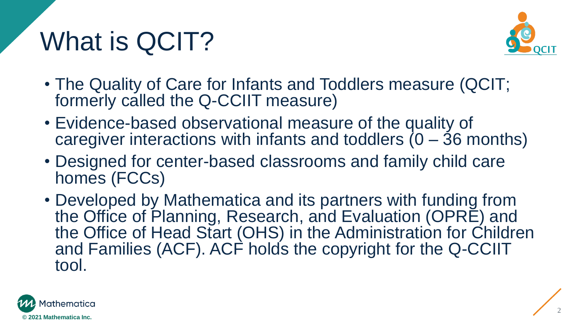# What is QCIT?



- The Quality of Care for Infants and Toddlers measure (QCIT; formerly called the Q-CCIIT measure)
- Evidence-based observational measure of the quality of caregiver interactions with infants and toddlers  $(0 - 36$  months)
- Designed for center-based classrooms and family child care homes (FCCs)
- Developed by Mathematica and its partners with funding from the Office of Planning, Research, and Evaluation (OPRE) and the Office of Head Start (OHS) in the Administration for Children and Families (ACF). ACF holds the copyright for the Q-CCIIT tool.

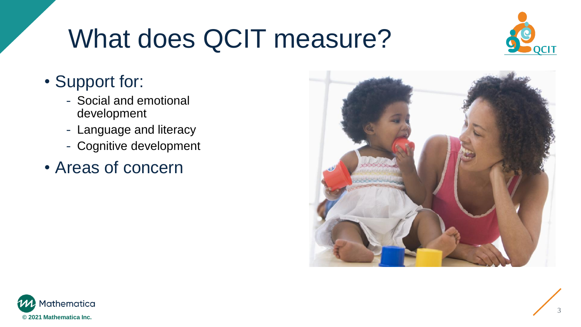# What does QCIT measure?



### • Support for:

- Social and emotional development
- Language and literacy
- Cognitive development
- Areas of concern



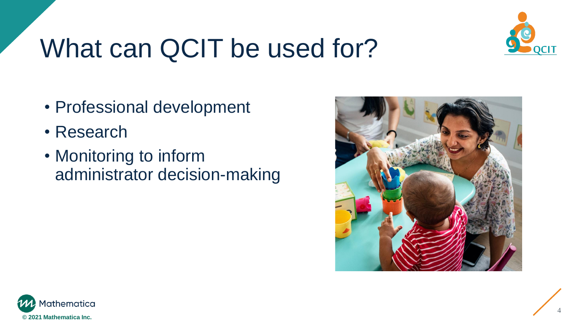

# What can QCIT be used for?

- Professional development
- Research
- Monitoring to inform administrator decision-making



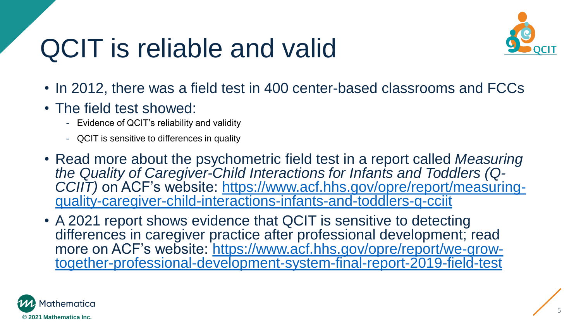## QCIT is reliable and valid



- In 2012, there was a field test in 400 center-based classrooms and FCCs
- The field test showed:
	- Evidence of QCIT's reliability and validity
	- QCIT is sensitive to differences in quality
- Read more about the psychometric field test in a report called *Measuring the Quality of Caregiver-Child Interactions for Infants and Toddlers (Q-*CCIIT) on ACF's website: https://www.acf.hhs.gov/opre/report/measuring[quality-caregiver-child-interactions-infants-and-toddlers-q-cciit](https://www.acf.hhs.gov/opre/report/measuring-quality-caregiver-child-interactions-infants-and-toddlers-q-cciit)
- A 2021 report shows evidence that QCIT is sensitive to detecting differences in caregiver practice after professional development; read more on ACF's website: https://www.acf.hhs.gov/opre/report/we-grow[together-professional-development-system-final-report-2019-field-test](https://www.acf.hhs.gov/opre/report/we-grow-together-professional-development-system-final-report-2019-field-test)

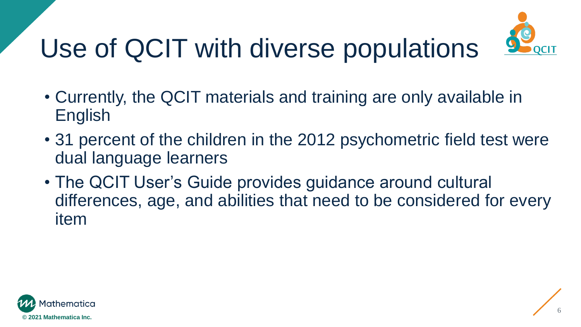# Use of QCIT with diverse populations



- Currently, the QCIT materials and training are only available in English
- 31 percent of the children in the 2012 psychometric field test were dual language learners
- The QCIT User's Guide provides guidance around cultural differences, age, and abilities that need to be considered for every item

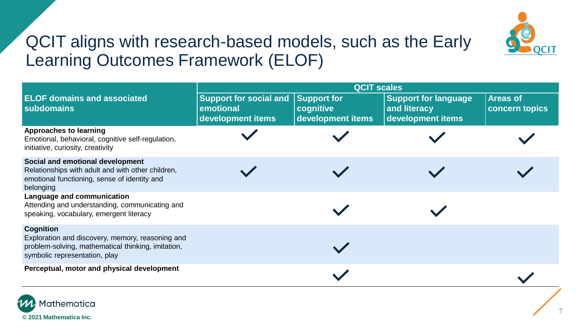

#### QCIT aligns with research-based models, such as the Early Learning Outcomes Framework (ELOF)

|                                                                                                                                                             | <b>QCIT scales</b>                                              |                                                      |                                                                  |                                          |  |  |  |
|-------------------------------------------------------------------------------------------------------------------------------------------------------------|-----------------------------------------------------------------|------------------------------------------------------|------------------------------------------------------------------|------------------------------------------|--|--|--|
| <b>ELOF domains and associated</b><br>subdomains                                                                                                            | <b>Support for social and</b><br>emotional<br>development items | <b>Support for</b><br>cognitive<br>development items | <b>Support for language</b><br>and literacy<br>development items | <b>Areas of</b><br><b>concern topics</b> |  |  |  |
| <b>Approaches to learning</b><br>Emotional, behavioral, cognitive self-regulation,<br>initiative, curiosity, creativity                                     |                                                                 |                                                      |                                                                  |                                          |  |  |  |
| Social and emotional development<br>Relationships with adult and with other children,<br>emotional functioning, sense of identity and<br>belonging          |                                                                 |                                                      |                                                                  |                                          |  |  |  |
| Language and communication<br>Attending and understanding, communicating and<br>speaking, vocabulary, emergent literacy                                     |                                                                 |                                                      |                                                                  |                                          |  |  |  |
| <b>Cognition</b><br>Exploration and discovery, memory, reasoning and<br>problem-solving, mathematical thinking, imitation,<br>symbolic representation, play |                                                                 |                                                      |                                                                  |                                          |  |  |  |
| Perceptual, motor and physical development                                                                                                                  |                                                                 |                                                      |                                                                  |                                          |  |  |  |

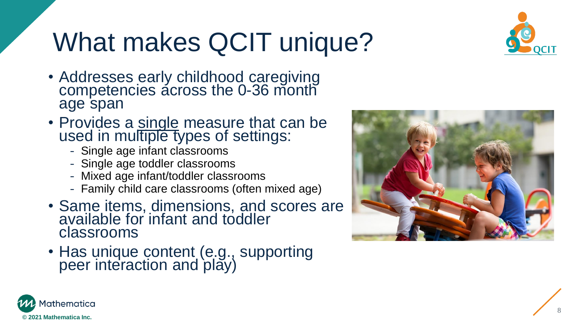# What makes QCIT unique?



- Addresses early childhood caregiving competencies across the 0 -36 month age span
- Provides a single measure that can be used in multiple types of settings:
	- Single age infant classrooms
	- Single age toddler classrooms
	- Mixed age infant/toddler classrooms
	- Family child care classrooms (often mixed age)
- Same items, dimensions, and scores are available for infant and toddler classrooms
- Has unique content (e.g., supporting peer interaction and play)



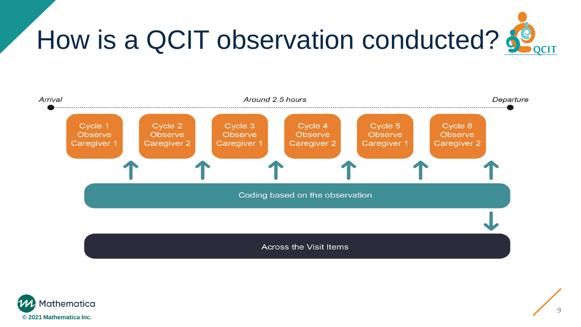



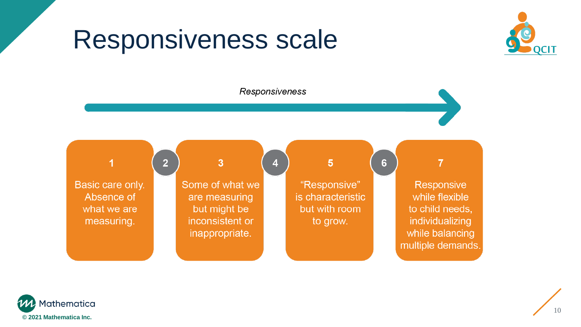### Responsiveness scale





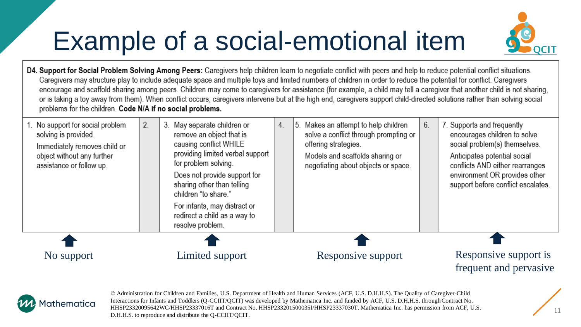# Example of a social-emotional item



D4. Support for Social Problem Solving Among Peers: Caregivers help children learn to negotiate conflict with peers and help to reduce potential conflict situations. Caregivers may structure play to include adequate space and multiple toys and limited numbers of children in order to reduce the potential for conflict. Caregivers encourage and scaffold sharing among peers. Children may come to caregivers for assistance (for example, a child may tell a caregiver that another child is not sharing, or is taking a toy away from them). When conflict occurs, caregivers intervene but at the high end, caregivers support child-directed solutions rather than solving social problems for the children. Code N/A if no social problems.

| 1. No support for social problem<br>solving is provided.<br>Immediately removes child or<br>object without any further<br>assistance or follow up. | 2. | 3. May separate children or<br>remove an object that is<br>causing conflict WHILE<br>providing limited verbal support<br>for problem solving.<br>Does not provide support for<br>sharing other than telling<br>children "to share."<br>For infants, may distract or<br>redirect a child as a way to<br>resolve problem. | 4. | 5. Makes an attempt to help children<br>solve a conflict through prompting or<br>offering strategies.<br>Models and scaffolds sharing or<br>negotiating about objects or space. | 6. | 7. Supports and frequently<br>encourages children to solve<br>social problem(s) themselves.<br>Anticipates potential social<br>conflicts AND either rearranges<br>environment OR provides other<br>support before conflict escalates. |
|----------------------------------------------------------------------------------------------------------------------------------------------------|----|-------------------------------------------------------------------------------------------------------------------------------------------------------------------------------------------------------------------------------------------------------------------------------------------------------------------------|----|---------------------------------------------------------------------------------------------------------------------------------------------------------------------------------|----|---------------------------------------------------------------------------------------------------------------------------------------------------------------------------------------------------------------------------------------|
|                                                                                                                                                    |    |                                                                                                                                                                                                                                                                                                                         |    |                                                                                                                                                                                 |    |                                                                                                                                                                                                                                       |
| No support                                                                                                                                         |    | Limited support                                                                                                                                                                                                                                                                                                         |    | Responsive support                                                                                                                                                              |    | Responsive support is<br>frequent and pervasive                                                                                                                                                                                       |



© Administration for Children and Families, U.S. Department of Health and Human Services (ACF, U.S. D.H.H.S). The Quality of Caregiver-Child Interactions for Infants and Toddlers (Q-CCIIT/QCIT) was developed by Mathematica Inc. and funded by ACF, U.S. D.H.H.S. through Contract No. HHSP23320095642WC/HHSP23337016T and Contract No. HHSP233201500035I/HHSP23337030T. Mathematica Inc. has permission from ACF, U.S. D.H.H.S. to reproduce and distribute the Q-CCIIT/QCIT.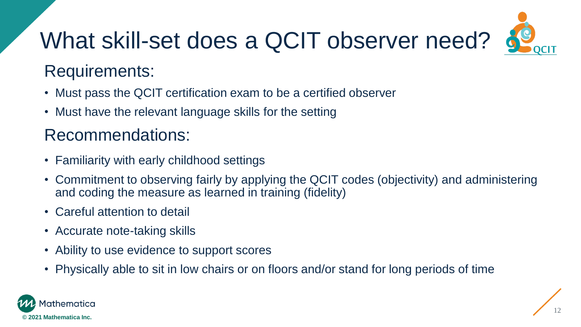# What skill-set does a QCIT observer need?



### Requirements:

- Must pass the QCIT certification exam to be a certified observer
- Must have the relevant language skills for the setting

### Recommendations:

- Familiarity with early childhood settings
- Commitment to observing fairly by applying the QCIT codes (objectivity) and administering and coding the measure as learned in training (fidelity)
- Careful attention to detail
- Accurate note-taking skills
- Ability to use evidence to support scores
- Physically able to sit in low chairs or on floors and/or stand for long periods of time

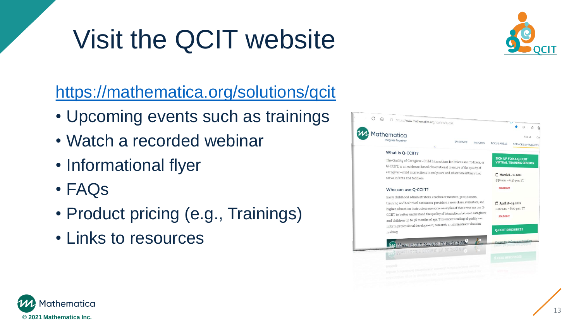# Visit the QCIT website



### <https://mathematica.org/solutions/qcit>

- Upcoming events such as trainings
- Watch a recorded webinar
- Informational flyer
- FAQs
- Product pricing (e.g., Trainings)
- Links to resources